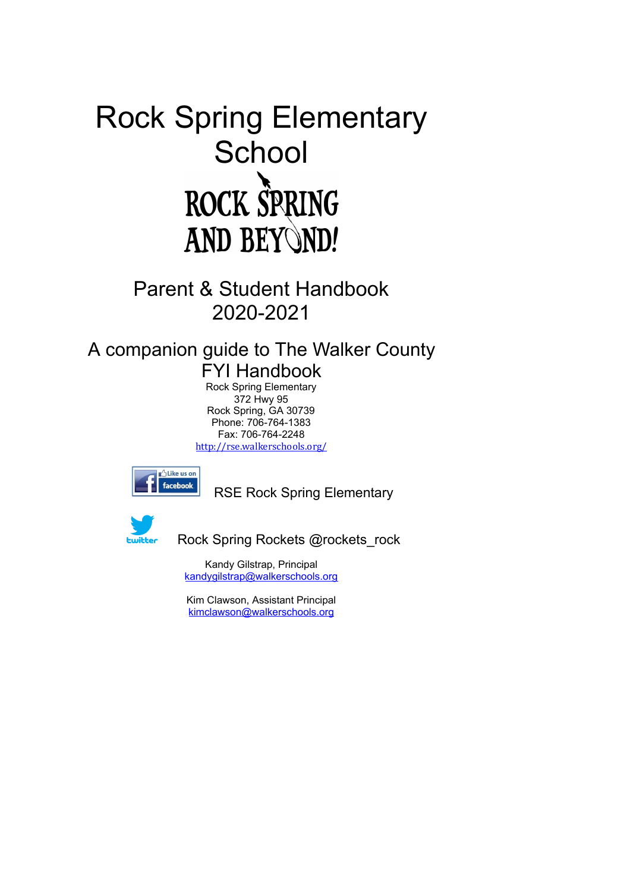# Rock Spring Elementary School<br>ROCK SPRING **AND BEYOND!**

Parent & Student Handbook 2020-2021

## A companion guide to The Walker County

**FYI Handbook** Rock Spring Elementary 372 Hwy 95 Rock Spring, GA 30739 Phone: 706-764-1383 Fax: 706-764-2248 http://rse.walkerschools.org/



RSE Rock Spring Elementary



Rock Spring Rockets @rockets rock

Kandy Gilstrap, Principal kandygilstrap@walkerschools.org

Kim Clawson, Assistant Principal kimclawson@walkerschools.org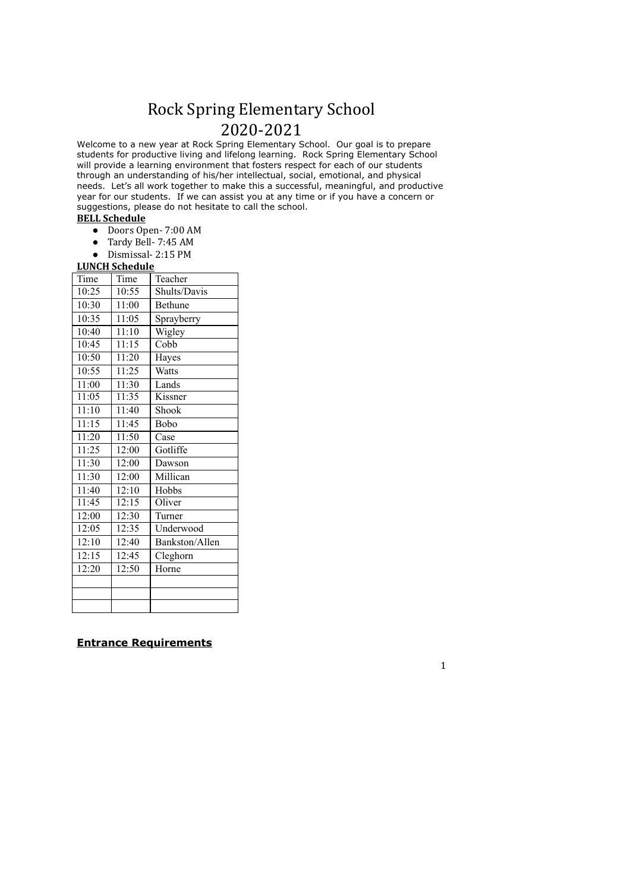## Rock Spring Elementary School 2020-2021

Welcome to a new year at Rock Spring Elementary School. Our goal is to prepare students for productive living and lifelong learning. Rock Spring Elementary School will provide a learning environment that fosters respect for each of our students through an understanding of his/her intellectual, social, emotional, and physical needs. Let's all work together to make this a successful, meaningful, and productive year for our students. If we can assist you at any time or if you have a concern or suggestions, please do not hesitate to call the school.

#### **BELL Schedule**

- Doors Open- 7:00 AM
- Tardy Bell- 7:45 AM
- Dismissal- 2:15 PM

#### **LUNCH Schedule**

| Time  | Time  | Teacher        |
|-------|-------|----------------|
| 10:25 | 10:55 | Shults/Davis   |
| 10:30 | 11:00 | <b>Bethune</b> |
| 10:35 | 11:05 | Sprayberry     |
| 10:40 | 11:10 | Wigley         |
| 10:45 | 11:15 | Cobb           |
| 10:50 | 11:20 | Hayes          |
| 10:55 | 11:25 | Watts          |
| 11:00 | 11:30 | Lands          |
| 11:05 | 11:35 | Kissner        |
| 11:10 | 11:40 | Shook          |
| 11:15 | 11:45 | Bobo           |
| 11:20 | 11:50 | Case           |
| 11:25 | 12:00 | Gotliffe       |
| 11:30 | 12:00 | Dawson         |
| 11:30 | 12:00 | Millican       |
| 11:40 | 12:10 | Hobbs          |
| 11:45 | 12:15 | Oliver         |
| 12:00 | 12:30 | Turner         |
| 12:05 | 12:35 | Underwood      |
| 12:10 | 12:40 | Bankston/Allen |
| 12:15 | 12:45 | Cleghorn       |
| 12:20 | 12:50 | Horne          |
|       |       |                |
|       |       |                |
|       |       |                |

#### **Entrance Requirements**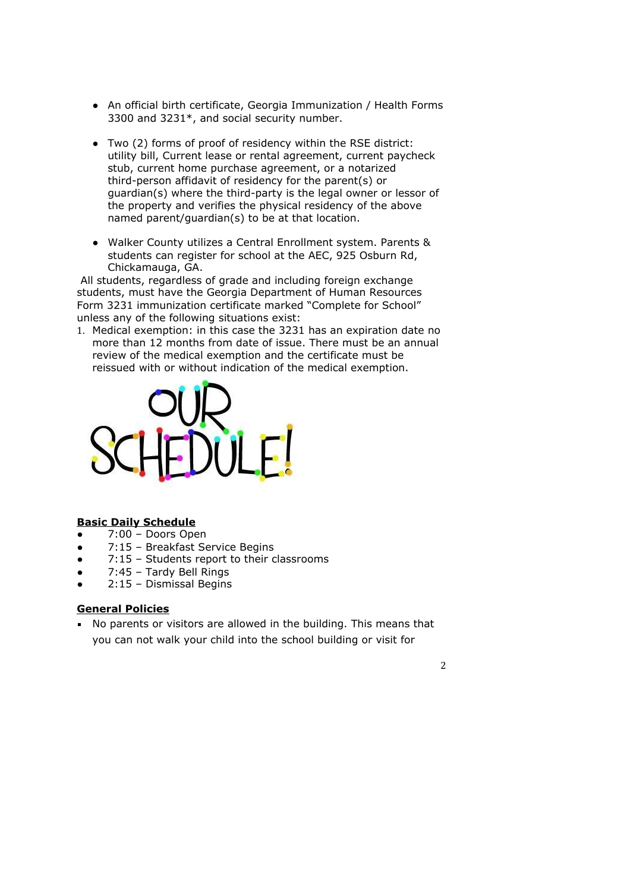- An official birth certificate, Georgia Immunization / Health Forms 3300 and 3231\*, and social security number.
- Two (2) forms of proof of residency within the RSE district: utility bill, Current lease or rental agreement, current paycheck stub, current home purchase agreement, or a notarized third-person affidavit of residency for the parent(s) or quardian(s) where the third-party is the legal owner or lessor of the property and verifies the physical residency of the above named parent/quardian(s) to be at that location.
- Walker County utilizes a Central Enrollment system. Parents & students can register for school at the AEC, 925 Osburn Rd, Chickamauga, GA.

All students, regardless of grade and including foreign exchange students, must have the Georgia Department of Human Resources Form 3231 immunization certificate marked "Complete for School" unless any of the following situations exist:

1. Medical exemption: in this case the 3231 has an expiration date no more than 12 months from date of issue. There must be an annual review of the medical exemption and the certificate must be reissued with or without indication of the medical exemption.



#### **Basic Daily Schedule**

- 7:00 Doors Open
- 7:15 Breakfast Service Begins
- 7:15 Students report to their classrooms  $\bullet$
- 7:45 Tardy Bell Rings
- 2:15 Dismissal Begins

#### **General Policies**

• No parents or visitors are allowed in the building. This means that you can not walk your child into the school building or visit for

 $\overline{2}$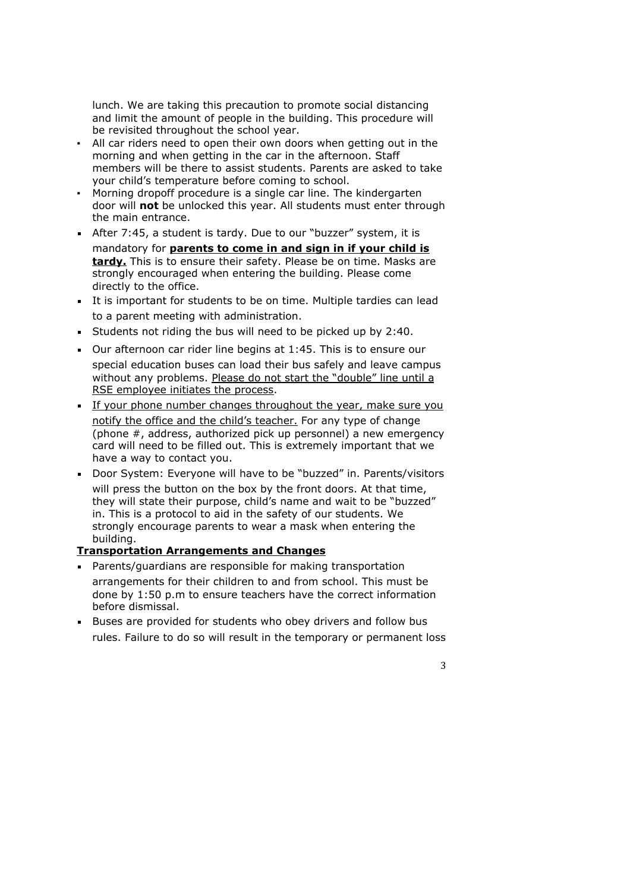lunch. We are taking this precaution to promote social distancing and limit the amount of people in the building. This procedure will be revisited throughout the school year.

- . All car riders need to open their own doors when getting out in the morning and when getting in the car in the afternoon. Staff members will be there to assist students. Parents are asked to take your child's temperature before coming to school.
- Morning dropoff procedure is a single car line. The kindergarten door will not be unlocked this year. All students must enter through the main entrance.
- After 7:45, a student is tardy. Due to our "buzzer" system, it is mandatory for parents to come in and sign in if your child is tardy. This is to ensure their safety. Please be on time. Masks are strongly encouraged when entering the building. Please come directly to the office.
- It is important for students to be on time. Multiple tardies can lead to a parent meeting with administration.
- Students not riding the bus will need to be picked up by 2:40.
- Our afternoon car rider line begins at 1:45. This is to ensure our special education buses can load their bus safely and leave campus without any problems. Please do not start the "double" line until a RSE employee initiates the process.
- If your phone number changes throughout the year, make sure you notify the office and the child's teacher. For any type of change (phone #, address, authorized pick up personnel) a new emergency card will need to be filled out. This is extremely important that we have a way to contact you.
- Door System: Everyone will have to be "buzzed" in, Parents/visitors will press the button on the box by the front doors. At that time, they will state their purpose, child's name and wait to be "buzzed" in. This is a protocol to aid in the safety of our students. We strongly encourage parents to wear a mask when entering the building.

### **Transportation Arrangements and Changes**

- Parents/quardians are responsible for making transportation arrangements for their children to and from school. This must be done by 1:50 p.m to ensure teachers have the correct information before dismissal.
- Buses are provided for students who obey drivers and follow bus rules. Failure to do so will result in the temporary or permanent loss

 $\overline{3}$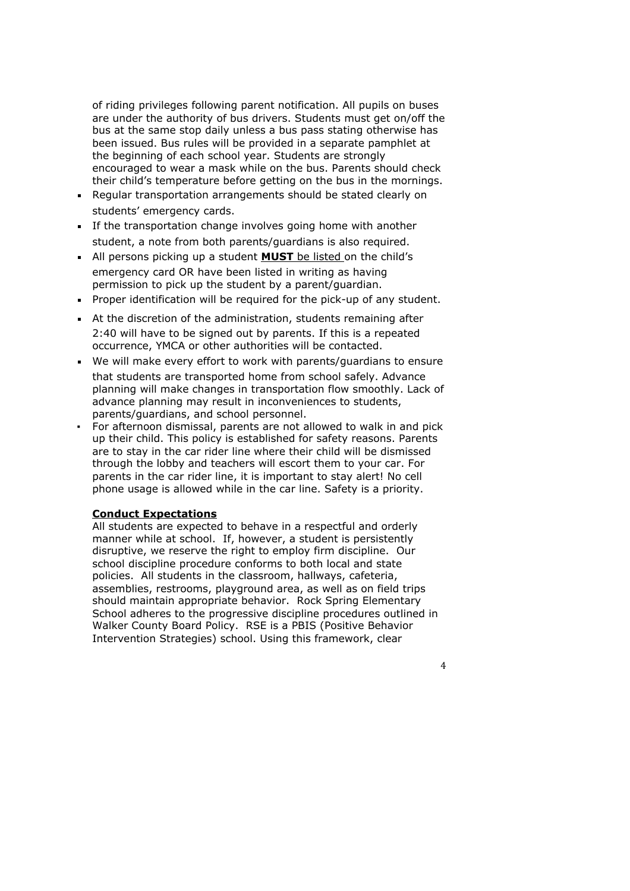of riding privileges following parent notification. All pupils on buses are under the authority of bus drivers. Students must get on/off the bus at the same stop daily unless a bus pass stating otherwise has been issued. Bus rules will be provided in a separate pamphlet at the beginning of each school year. Students are strongly encouraged to wear a mask while on the bus. Parents should check their child's temperature before getting on the bus in the mornings.

- Regular transportation arrangements should be stated clearly on students' emergency cards.
- If the transportation change involves going home with another student, a note from both parents/guardians is also required.
- All persons picking up a student **MUST** be listed on the child's emergency card OR have been listed in writing as having permission to pick up the student by a parent/quardian.
- Proper identification will be required for the pick-up of any student.
- At the discretion of the administration, students remaining after 2:40 will have to be signed out by parents. If this is a repeated occurrence, YMCA or other authorities will be contacted.
- We will make every effort to work with parents/quardians to ensure that students are transported home from school safely. Advance planning will make changes in transportation flow smoothly. Lack of advance planning may result in inconveniences to students, parents/guardians, and school personnel.
- For afternoon dismissal, parents are not allowed to walk in and pick up their child. This policy is established for safety reasons. Parents are to stay in the car rider line where their child will be dismissed through the lobby and teachers will escort them to your car. For parents in the car rider line, it is important to stay alert! No cell phone usage is allowed while in the car line. Safety is a priority.

#### **Conduct Expectations**

All students are expected to behave in a respectful and orderly manner while at school. If, however, a student is persistently disruptive, we reserve the right to employ firm discipline. Our school discipline procedure conforms to both local and state policies. All students in the classroom, hallways, cafeteria, assemblies, restrooms, playground area, as well as on field trips should maintain appropriate behavior. Rock Spring Elementary School adheres to the progressive discipline procedures outlined in Walker County Board Policy. RSE is a PBIS (Positive Behavior Intervention Strategies) school. Using this framework, clear

 $\overline{4}$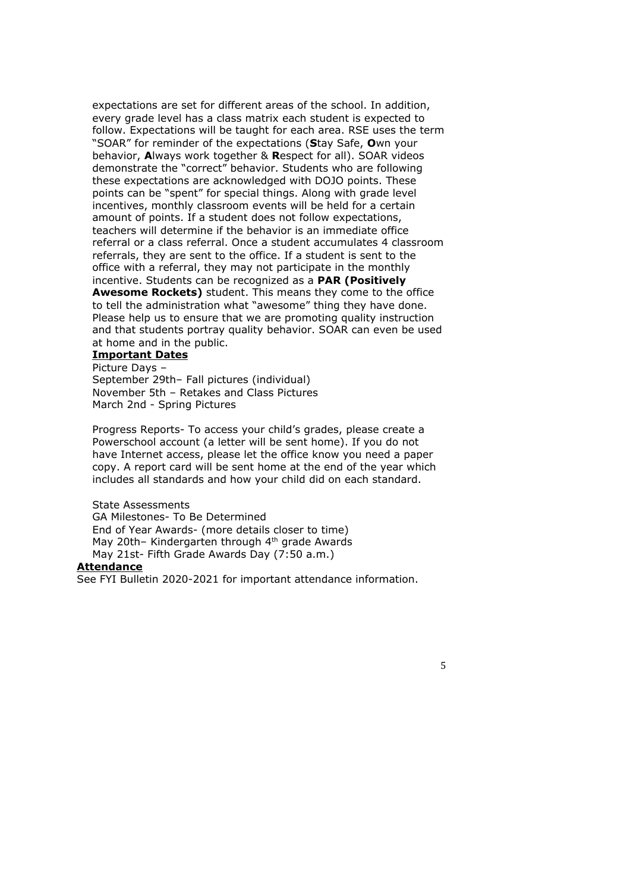expectations are set for different areas of the school. In addition, every grade level has a class matrix each student is expected to follow. Expectations will be taught for each area. RSE uses the term "SOAR" for reminder of the expectations (Stay Safe, Own your behavior, Always work together & Respect for all). SOAR videos demonstrate the "correct" behavior. Students who are following these expectations are acknowledged with DOJO points. These points can be "spent" for special things. Along with grade level incentives, monthly classroom events will be held for a certain amount of points. If a student does not follow expectations, teachers will determine if the behavior is an immediate office referral or a class referral. Once a student accumulates 4 classroom referrals, they are sent to the office. If a student is sent to the office with a referral, they may not participate in the monthly incentive. Students can be recognized as a PAR (Positively Awesome Rockets) student. This means they come to the office to tell the administration what "awesome" thing they have done. Please help us to ensure that we are promoting quality instruction and that students portray quality behavior. SOAR can even be used at home and in the public.

#### **Important Dates**

Picture Davs -September 29th- Fall pictures (individual) November 5th - Retakes and Class Pictures March 2nd - Spring Pictures

Progress Reports- To access your child's grades, please create a Powerschool account (a letter will be sent home). If you do not have Internet access, please let the office know you need a paper copy. A report card will be sent home at the end of the year which includes all standards and how your child did on each standard.

**State Assessments** GA Milestones- To Be Determined End of Year Awards- (more details closer to time) May 20th- Kindergarten through 4th grade Awards May 21st- Fifth Grade Awards Day (7:50 a.m.)

#### **Attendance**

See FYI Bulletin 2020-2021 for important attendance information.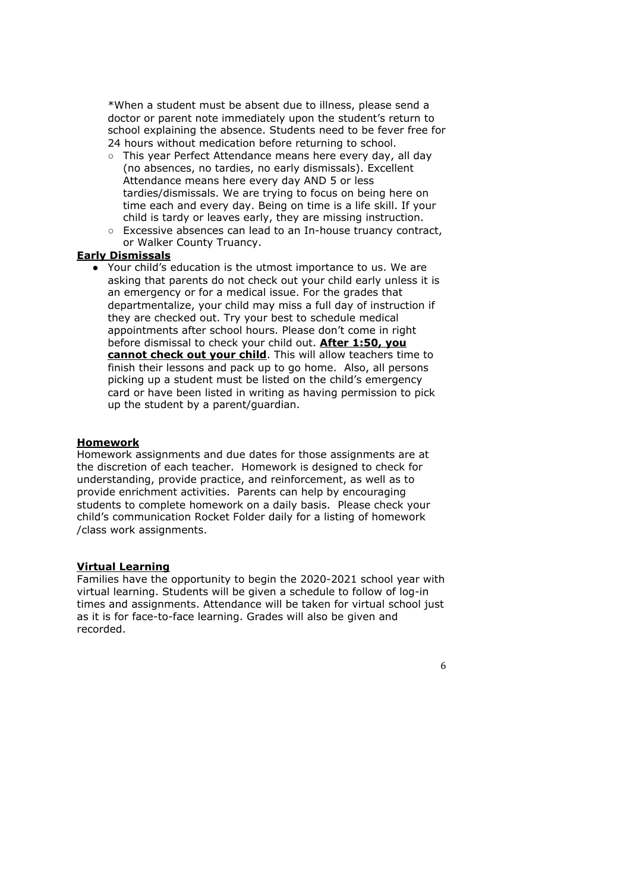\*When a student must be absent due to illness, please send a doctor or parent note immediately upon the student's return to school explaining the absence. Students need to be fever free for 24 hours without medication before returning to school.

- o This year Perfect Attendance means here every day, all day (no absences, no tardies, no early dismissals). Excellent Attendance means here every day AND 5 or less tardies/dismissals. We are trying to focus on being here on time each and every day. Being on time is a life skill. If your child is tardy or leaves early, they are missing instruction.
- Excessive absences can lead to an In-house truancy contract, or Walker County Truancy.

#### **Early Dismissals**

• Your child's education is the utmost importance to us. We are asking that parents do not check out your child early unless it is an emergency or for a medical issue. For the grades that departmentalize, your child may miss a full day of instruction if they are checked out. Try your best to schedule medical appointments after school hours. Please don't come in right before dismissal to check your child out. After 1:50, you cannot check out your child. This will allow teachers time to finish their lessons and pack up to go home. Also, all persons picking up a student must be listed on the child's emergency card or have been listed in writing as having permission to pick up the student by a parent/guardian.

#### **Homework**

Homework assignments and due dates for those assignments are at the discretion of each teacher. Homework is designed to check for understanding, provide practice, and reinforcement, as well as to provide enrichment activities. Parents can help by encouraging students to complete homework on a daily basis. Please check your child's communication Rocket Folder daily for a listing of homework /class work assignments.

#### **Virtual Learning**

Families have the opportunity to begin the 2020-2021 school year with virtual learning. Students will be given a schedule to follow of log-in times and assignments. Attendance will be taken for virtual school just as it is for face-to-face learning. Grades will also be given and recorded.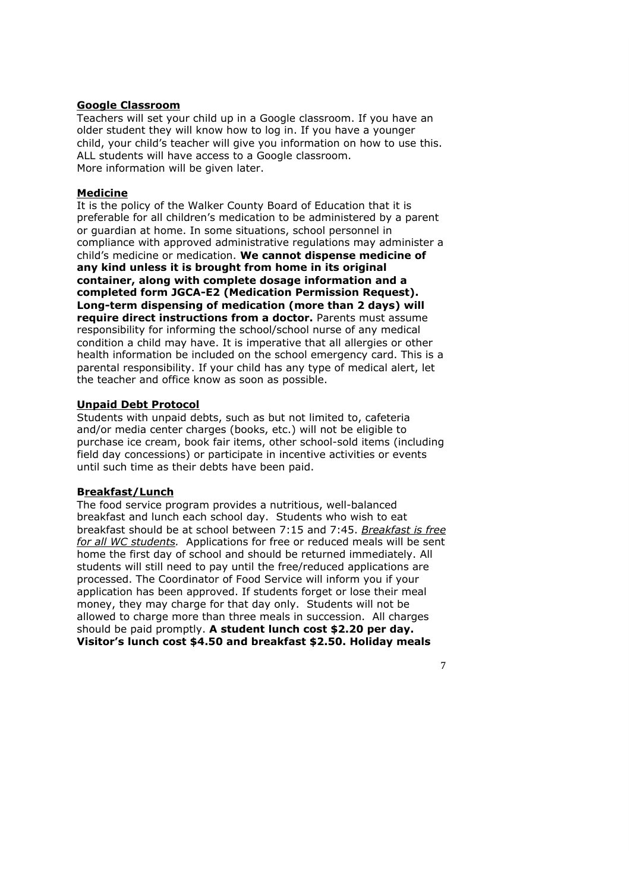#### **Google Classroom**

Teachers will set your child up in a Google classroom. If you have an older student they will know how to log in. If you have a younger child, your child's teacher will give you information on how to use this. ALL students will have access to a Google classroom. More information will be given later.

#### **Medicine**

It is the policy of the Walker County Board of Education that it is preferable for all children's medication to be administered by a parent or quardian at home. In some situations, school personnel in compliance with approved administrative regulations may administer a child's medicine or medication. We cannot dispense medicine of any kind unless it is brought from home in its original container, along with complete dosage information and a completed form JGCA-E2 (Medication Permission Request). Long-term dispensing of medication (more than 2 days) will require direct instructions from a doctor. Parents must assume responsibility for informing the school/school nurse of any medical condition a child may have. It is imperative that all allergies or other health information be included on the school emergency card. This is a parental responsibility. If your child has any type of medical alert, let the teacher and office know as soon as possible.

#### **Unpaid Debt Protocol**

Students with unpaid debts, such as but not limited to, cafeteria and/or media center charges (books, etc.) will not be eligible to purchase ice cream, book fair items, other school-sold items (including field day concessions) or participate in incentive activities or events until such time as their debts have been paid.

#### **Breakfast/Lunch**

The food service program provides a nutritious, well-balanced breakfast and lunch each school day. Students who wish to eat breakfast should be at school between 7:15 and 7:45. Breakfast is free for all WC students. Applications for free or reduced meals will be sent home the first day of school and should be returned immediately. All students will still need to pay until the free/reduced applications are processed. The Coordinator of Food Service will inform you if your application has been approved. If students forget or lose their meal money, they may charge for that day only. Students will not be allowed to charge more than three meals in succession. All charges should be paid promptly. A student lunch cost \$2.20 per day. Visitor's lunch cost \$4.50 and breakfast \$2.50. Holiday meals

 $\overline{7}$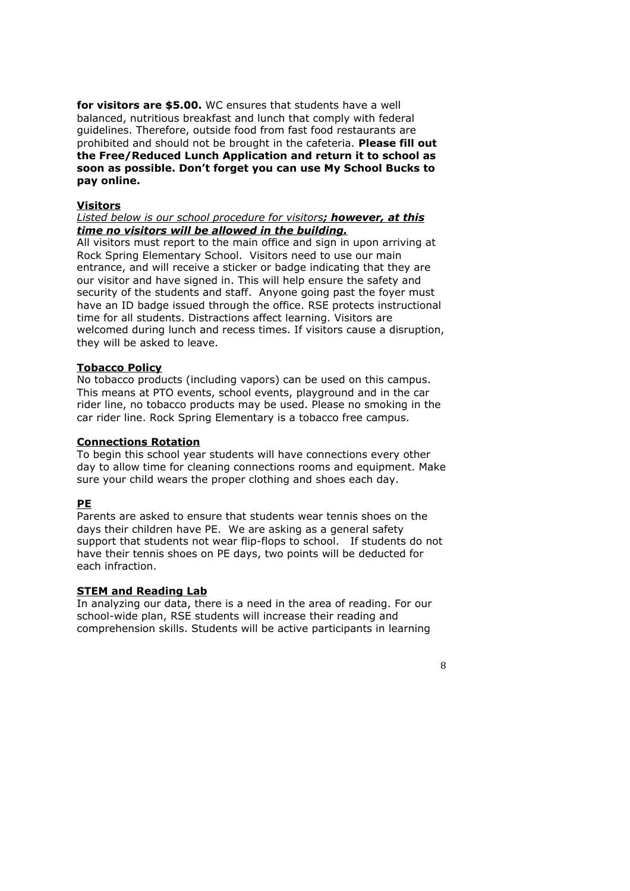for visitors are \$5.00. WC ensures that students have a well balanced, nutritious breakfast and lunch that comply with federal guidelines. Therefore, outside food from fast food restaurants are prohibited and should not be brought in the cafeteria. Please fill out the Free/Reduced Lunch Application and return it to school as soon as possible. Don't forget you can use My School Bucks to pay online.

#### **Visitors**

#### Listed below is our school procedure for visitors; however, at this time no visitors will be allowed in the building.

All visitors must report to the main office and sign in upon arriving at Rock Spring Elementary School. Visitors need to use our main entrance, and will receive a sticker or badge indicating that they are our visitor and have signed in. This will help ensure the safety and security of the students and staff. Anyone going past the foyer must have an ID badge issued through the office. RSE protects instructional time for all students. Distractions affect learning. Visitors are welcomed during lunch and recess times. If visitors cause a disruption, they will be asked to leave.

#### **Tobacco Policy**

No tobacco products (including vapors) can be used on this campus. This means at PTO events, school events, playground and in the car rider line, no tobacco products may be used. Please no smoking in the car rider line. Rock Spring Elementary is a tobacco free campus.

#### **Connections Rotation**

To begin this school year students will have connections every other day to allow time for cleaning connections rooms and equipment. Make sure your child wears the proper clothing and shoes each day.

#### **PE**

Parents are asked to ensure that students wear tennis shoes on the days their children have PE. We are asking as a general safety support that students not wear flip-flops to school. If students do not have their tennis shoes on PE days, two points will be deducted for each infraction.

#### **STEM and Reading Lab**

In analyzing our data, there is a need in the area of reading. For our school-wide plan, RSE students will increase their reading and comprehension skills. Students will be active participants in learning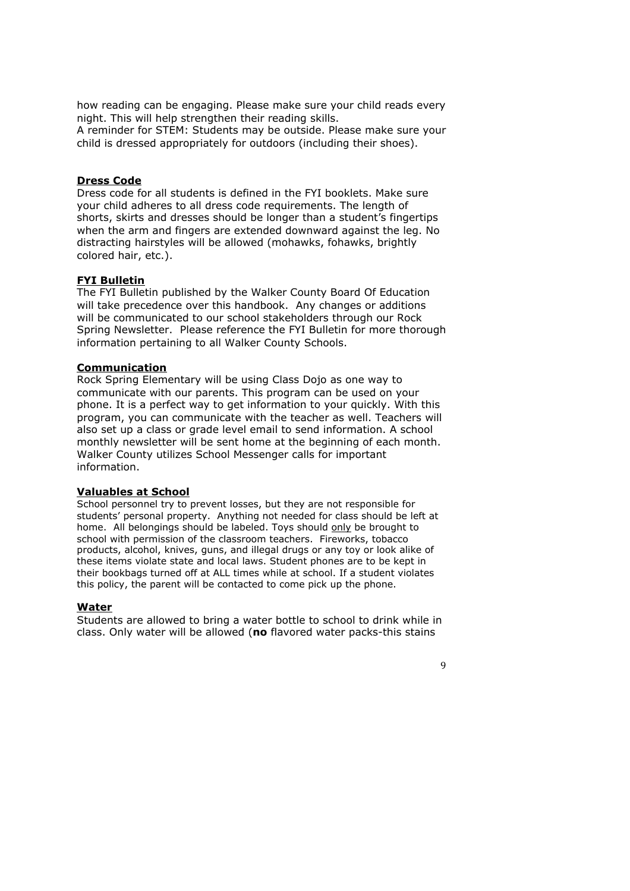how reading can be engaging. Please make sure your child reads every night. This will help strengthen their reading skills.

A reminder for STEM: Students may be outside. Please make sure your child is dressed appropriately for outdoors (including their shoes).

#### **Dress Code**

Dress code for all students is defined in the FYI booklets. Make sure your child adheres to all dress code requirements. The length of shorts, skirts and dresses should be longer than a student's fingertips when the arm and fingers are extended downward against the leg. No distracting hairstyles will be allowed (mohawks, fohawks, brightly colored hair, etc.).

#### **FYI Bulletin**

The FYI Bulletin published by the Walker County Board Of Education will take precedence over this handbook. Any changes or additions will be communicated to our school stakeholders through our Rock Spring Newsletter. Please reference the FYI Bulletin for more thorough information pertaining to all Walker County Schools.

#### **Communication**

Rock Spring Elementary will be using Class Dojo as one way to communicate with our parents. This program can be used on your phone. It is a perfect way to get information to your quickly. With this program, you can communicate with the teacher as well. Teachers will also set up a class or grade level email to send information. A school monthly newsletter will be sent home at the beginning of each month. Walker County utilizes School Messenger calls for important information.

#### **Valuables at School**

School personnel try to prevent losses, but they are not responsible for students' personal property. Anything not needed for class should be left at home. All belongings should be labeled. Toys should only be brought to school with permission of the classroom teachers. Fireworks, tobacco products, alcohol, knives, guns, and illegal drugs or any toy or look alike of these items violate state and local laws. Student phones are to be kept in their bookbags turned off at ALL times while at school. If a student violates this policy, the parent will be contacted to come pick up the phone.

#### **Water**

Students are allowed to bring a water bottle to school to drink while in class. Only water will be allowed (no flavored water packs-this stains

 $\mathbf{Q}$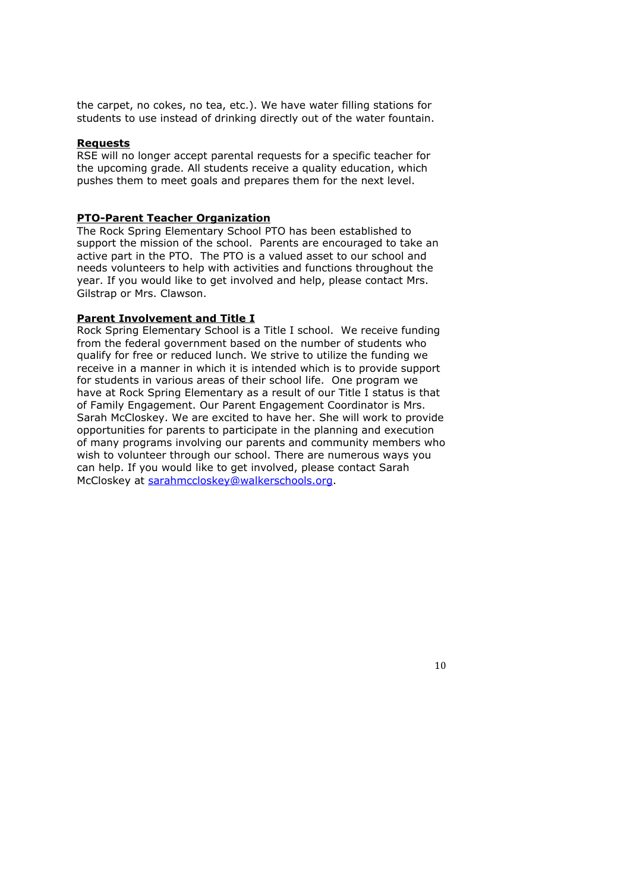the carpet, no cokes, no tea, etc.). We have water filling stations for students to use instead of drinking directly out of the water fountain.

#### **Requests**

RSE will no longer accept parental requests for a specific teacher for the upcoming grade. All students receive a quality education, which pushes them to meet goals and prepares them for the next level.

#### **PTO-Parent Teacher Organization**

The Rock Spring Elementary School PTO has been established to support the mission of the school. Parents are encouraged to take an active part in the PTO. The PTO is a valued asset to our school and needs volunteers to help with activities and functions throughout the year. If you would like to get involved and help, please contact Mrs. Gilstrap or Mrs. Clawson.

#### **Parent Involvement and Title I**

Rock Spring Elementary School is a Title I school. We receive funding from the federal government based on the number of students who qualify for free or reduced lunch. We strive to utilize the funding we receive in a manner in which it is intended which is to provide support for students in various areas of their school life. One program we have at Rock Spring Elementary as a result of our Title I status is that of Family Engagement. Our Parent Engagement Coordinator is Mrs. Sarah McCloskey. We are excited to have her. She will work to provide opportunities for parents to participate in the planning and execution of many programs involving our parents and community members who wish to volunteer through our school. There are numerous ways you can help. If you would like to get involved, please contact Sarah McCloskey at sarahmccloskey@walkerschools.org.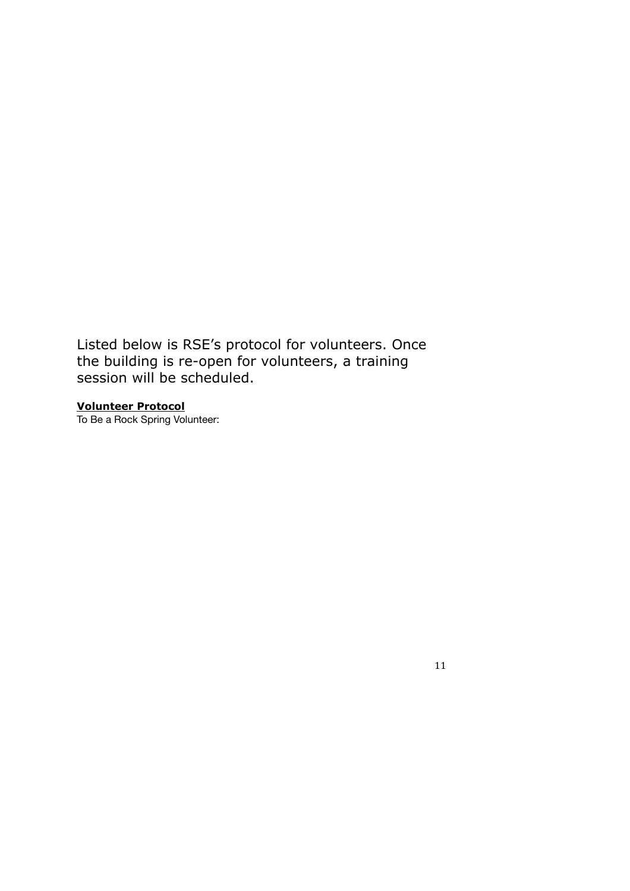Listed below is RSE's protocol for volunteers. Once the building is re-open for volunteers, a training session will be scheduled.

**Volunteer Protocol**<br>To Be a Rock Spring Volunteer: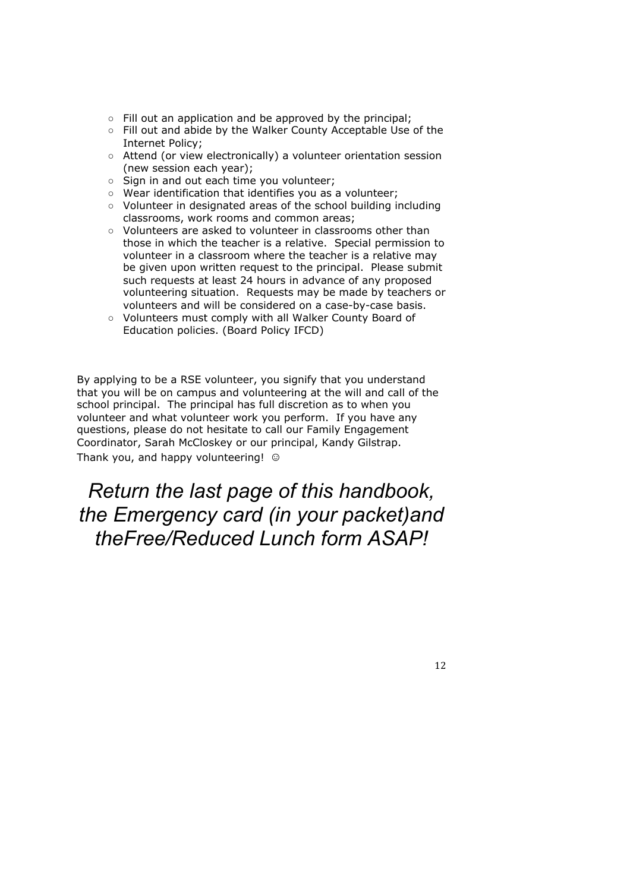- $\circ$  Fill out an application and be approved by the principal;
- Fill out and abide by the Walker County Acceptable Use of the Internet Policy:
- o Attend (or view electronically) a volunteer orientation session (new session each year);
- Sign in and out each time you volunteer;
- $\circ$  Wear identification that identifies you as a volunteer:
- o Volunteer in designated areas of the school building including classrooms, work rooms and common areas;
- o Volunteers are asked to volunteer in classrooms other than those in which the teacher is a relative. Special permission to volunteer in a classroom where the teacher is a relative may be given upon written request to the principal. Please submit such requests at least 24 hours in advance of any proposed volunteering situation. Requests may be made by teachers or volunteers and will be considered on a case-by-case basis.
- o Volunteers must comply with all Walker County Board of Education policies. (Board Policy IFCD)

By applying to be a RSE volunteer, you signify that you understand that you will be on campus and volunteering at the will and call of the school principal. The principal has full discretion as to when you volunteer and what volunteer work you perform. If you have any questions, please do not hesitate to call our Family Engagement Coordinator, Sarah McCloskey or our principal, Kandy Gilstrap. Thank you, and happy volunteering! ©

## Return the last page of this handbook, the Emergency card (in your packet) and theFree/Reduced Lunch form ASAP!